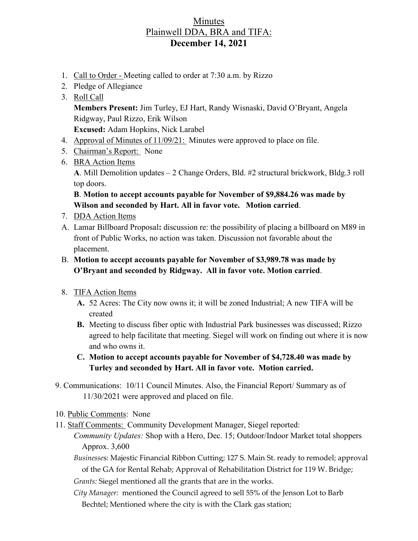## Minutes Plainwell DDA, BRA and TIFA: **December 14, 2021**

- 1. Call to Order Meeting called to order at 7:30 a.m. by Rizzo
- 2. Pledge of Allegiance
- 3. Roll Call **Members Present:** Jim Turley, EJ Hart, Randy Wisnaski, David O'Bryant, Angela Ridgway, Paul Rizzo, Erik Wilson **Excused:** Adam Hopkins, Nick Larabel
- 4. Approval of Minutes of 11/09/21: Minutes were approved to place on file.
- 5. Chairman's Report: None
- 6. BRA Action Items **A**. Mill Demolition updates – 2 Change Orders, Bld. #2 structural brickwork, Bldg.3 roll top doors.

**B**. **Motion to accept accounts payable for November of \$9,884.26 was made by Wilson and seconded by Hart. All in favor vote. Motion carried**.

- 7. DDA Action Items
- A. Lamar Billboard Proposal**:** discussion re: the possibility of placing a billboard on M89 in front of Public Works, no action was taken. Discussion not favorable about the placement.
- B. **Motion to accept accounts payable for November of \$3,989.78 was made by O'Bryant and seconded by Ridgway. All in favor vote. Motion carried**.
- 8. TIFA Action Items
	- **A.** 52 Acres: The City now owns it; it will be zoned Industrial; A new TIFA will be created
	- **B.** Meeting to discuss fiber optic with Industrial Park businesses was discussed; Rizzo agreed to help facilitate that meeting. Siegel will work on finding out where it is now and who owns it.
	- **C. Motion to accept accounts payable for November of \$4,728.40 was made by Turley and seconded by Hart. All in favor vote. Motion carried.**
- 9. Communications: 10/11 Council Minutes. Also, the Financial Report/ Summary as of 11/30/2021 were approved and placed on file.
- 10. Public Comments: None
- 11. Staff Comments: Community Development Manager, Siegel reported:

*Community Updates:* Shop with a Hero, Dec. 15; Outdoor/Indoor Market total shoppers Approx. 3,600

*Businesse*s: Majestic Financial Ribbon Cutting; 127 S. Main St. ready to remodel; approval of the GA for Rental Rehab; Approval of Rehabilitation District for 119 W. Bridge;

*Grants:* Siegel mentioned all the grants that are in the works.

*City Manager:* mentioned the Council agreed to sell 55% of the Jenson Lot to Barb Bechtel; Mentioned where the city is with the Clark gas station;